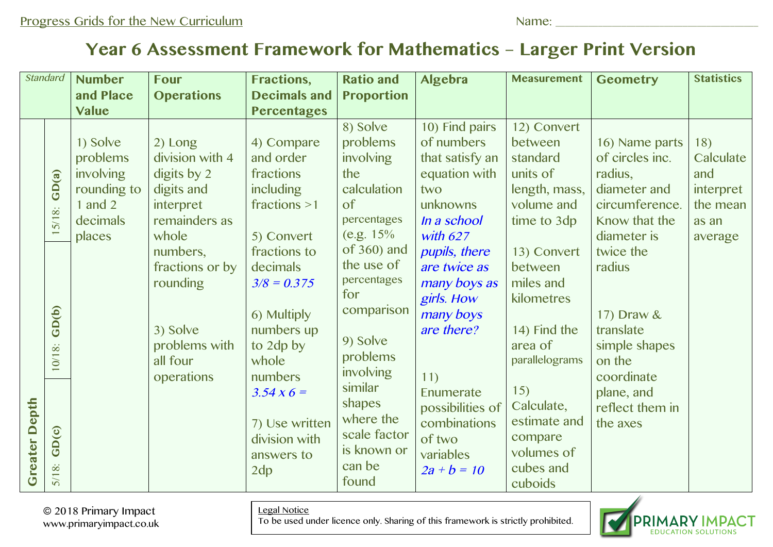## **Year 6 Assessment Framework for Mathematics – Larger Print Version**

| <b>Standard</b>  |                                                                                                      | <b>Number</b><br>and Place                                                          | <b>Four</b><br><b>Operations</b>                                                                                                                                                                 | <b>Fractions,</b><br><b>Decimals and</b>                                                                                                                                                                                                                                         | <b>Ratio and</b><br><b>Proportion</b>                                                                                                                                                                                                                                                    | Algebra                                                                                                                                                                                                                                                                                                    | <b>Measurement</b>                                                                                                                                                                                                                                                                   | <b>Geometry</b>                                                                                                                                                                                                                                        | <b>Statistics</b>                                                    |
|------------------|------------------------------------------------------------------------------------------------------|-------------------------------------------------------------------------------------|--------------------------------------------------------------------------------------------------------------------------------------------------------------------------------------------------|----------------------------------------------------------------------------------------------------------------------------------------------------------------------------------------------------------------------------------------------------------------------------------|------------------------------------------------------------------------------------------------------------------------------------------------------------------------------------------------------------------------------------------------------------------------------------------|------------------------------------------------------------------------------------------------------------------------------------------------------------------------------------------------------------------------------------------------------------------------------------------------------------|--------------------------------------------------------------------------------------------------------------------------------------------------------------------------------------------------------------------------------------------------------------------------------------|--------------------------------------------------------------------------------------------------------------------------------------------------------------------------------------------------------------------------------------------------------|----------------------------------------------------------------------|
|                  |                                                                                                      | <b>Value</b>                                                                        |                                                                                                                                                                                                  | <b>Percentages</b>                                                                                                                                                                                                                                                               |                                                                                                                                                                                                                                                                                          |                                                                                                                                                                                                                                                                                                            |                                                                                                                                                                                                                                                                                      |                                                                                                                                                                                                                                                        |                                                                      |
| Depth<br>Greater | GD(a)<br>$\ddot{\infty}$<br>5/1<br>GD(b)<br>$\dot{\infty}$<br>10/1<br>GD(c)<br>$\dot{\infty}$<br>5/1 | 1) Solve<br>problems<br>involving<br>rounding to<br>1 and $2$<br>decimals<br>places | 2) Long<br>division with 4<br>digits by 2<br>digits and<br>interpret<br>remainders as<br>whole<br>numbers,<br>fractions or by<br>rounding<br>3) Solve<br>problems with<br>all four<br>operations | 4) Compare<br>and order<br>fractions<br><i>including</i><br>fractions $>1$<br>5) Convert<br>fractions to<br>decimals<br>$3/8 = 0.375$<br>6) Multiply<br>numbers up<br>to 2dp by<br>whole<br>numbers<br>$3.54 \times 6 =$<br>7) Use written<br>division with<br>answers to<br>2dp | 8) Solve<br>problems<br>involving<br>the<br>calculation<br>of<br>percentages<br>(e.g. $15%$<br>of $360$ ) and<br>the use of<br>percentages<br>for<br>comparison<br>9) Solve<br>problems<br>involving<br>similar<br>shapes<br>where the<br>scale factor<br>is known or<br>can be<br>found | 10) Find pairs<br>of numbers<br>that satisfy an<br>equation with<br>two<br>unknowns<br>In a school<br>with $627$<br>pupils, there<br>are twice as<br>many boys as<br>girls. How<br>many boys<br>are there?<br>11)<br>Enumerate<br>possibilities of<br>combinations<br>of two<br>variables<br>$2a + b = 10$ | 12) Convert<br>between<br>standard<br>units of<br>length, mass,<br>volume and<br>time to 3dp<br>13) Convert<br>between<br>miles and<br>kilometres<br>14) Find the<br>area of<br>parallelograms<br>15)<br>Calculate,<br>estimate and<br>compare<br>volumes of<br>cubes and<br>cuboids | 16) Name parts<br>of circles inc.<br>radius,<br>diameter and<br>circumference.<br>Know that the<br>diameter is<br>twice the<br>radius<br>17) Draw &<br>translate<br>simple shapes<br>on the<br>coordinate<br>plane, and<br>reflect them in<br>the axes | 18)<br>Calculate<br>and<br>interpret<br>the mean<br>as an<br>average |

Legal Notice

To be used under licence only. Sharing of this framework is strictly prohibited.



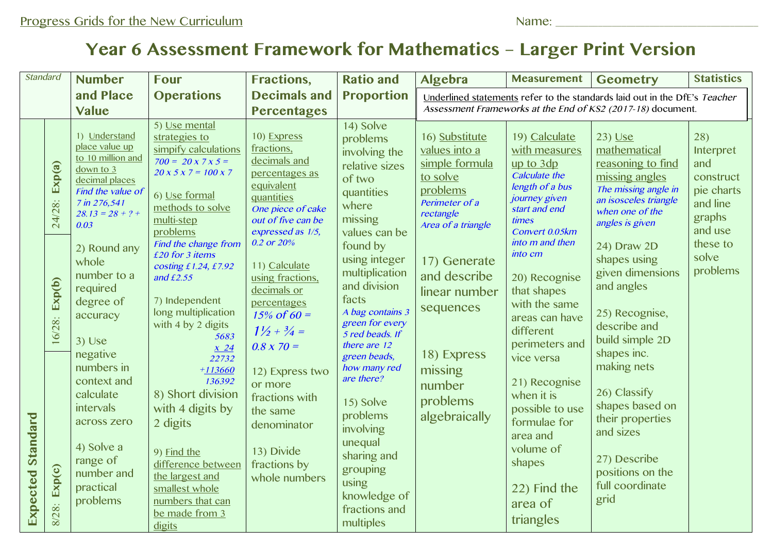## **Year 6 Assessment Framework for Mathematics – Larger Print Version**

| <b>Standard</b>          |                                      | <b>Number</b>                                                                                                                                                                                                                                   | <b>Four</b>                                                                                                                                                                                                                                                                                                                                                                                                                                                                                                                                                                     | <b>Fractions,</b>                                                                                                                                                                                                                                                                                                          | <b>Ratio and</b>                                                                                                                                                                                                                                                                                                                                                                                                                                         | Algebra                                                                                                                                                                                      | <b>Measurement</b>                                                                                                                                                                                                                                                           | <b>Geometry</b>                                                                                                                                                                                                                                                               | <b>Statistics</b>                                                                                                    |
|--------------------------|--------------------------------------|-------------------------------------------------------------------------------------------------------------------------------------------------------------------------------------------------------------------------------------------------|---------------------------------------------------------------------------------------------------------------------------------------------------------------------------------------------------------------------------------------------------------------------------------------------------------------------------------------------------------------------------------------------------------------------------------------------------------------------------------------------------------------------------------------------------------------------------------|----------------------------------------------------------------------------------------------------------------------------------------------------------------------------------------------------------------------------------------------------------------------------------------------------------------------------|----------------------------------------------------------------------------------------------------------------------------------------------------------------------------------------------------------------------------------------------------------------------------------------------------------------------------------------------------------------------------------------------------------------------------------------------------------|----------------------------------------------------------------------------------------------------------------------------------------------------------------------------------------------|------------------------------------------------------------------------------------------------------------------------------------------------------------------------------------------------------------------------------------------------------------------------------|-------------------------------------------------------------------------------------------------------------------------------------------------------------------------------------------------------------------------------------------------------------------------------|----------------------------------------------------------------------------------------------------------------------|
|                          |                                      | and Place<br>Value                                                                                                                                                                                                                              | <b>Operations</b>                                                                                                                                                                                                                                                                                                                                                                                                                                                                                                                                                               | <b>Decimals and</b><br><b>Percentages</b>                                                                                                                                                                                                                                                                                  | <b>Proportion</b>                                                                                                                                                                                                                                                                                                                                                                                                                                        | Underlined statements refer to the standards laid out in the DfE's Teacher<br>Assessment Frameworks at the End of KS2 (2017-18) document.                                                    |                                                                                                                                                                                                                                                                              |                                                                                                                                                                                                                                                                               |                                                                                                                      |
|                          | Exp(a)<br>24/28:<br>Exp(b)<br>16/28: | 1) Understand<br>place value up<br>to 10 million and<br>down to 3<br>decimal places<br>Find the value of<br>7 in 276,541<br>$28.13 = 28 + ? +$<br>0.03<br>2) Round any<br>whole<br>number to a<br>required<br>degree of<br>accuracy<br>$3)$ Use | 5) Use mental<br>strategies to<br>simpify calculations<br>$700 = 20 \times 7 \times 5 =$<br>$20 \times 5 \times 7 = 100 \times 7$<br>6) Use formal<br>methods to solve<br>multi-step<br>problems<br>Find the change from<br>£20 for 3 items<br>costing £1.24, £7.92<br>and $£2.55$<br>7) Independent<br>long multiplication<br>with 4 by 2 digits<br>5683<br>x24<br>22732<br>$+113660$<br>136392<br>8) Short division<br>with 4 digits by<br>2 digits<br>9) Find the<br>difference between<br>the largest and<br>smallest whole<br>numbers that can<br>be made from 3<br>digits | 10) Express<br>fractions,<br>decimals and<br>percentages as<br>equivalent<br>quantities<br>One piece of cake<br>out of five can be<br>expressed as 1/5,<br>0.2 or 20%<br>11) Calculate<br>using fractions,<br>decimals or<br>percentages<br>$15\% \text{ of } 60 =$<br>$1\frac{1}{2} + \frac{3}{4} =$<br>$0.8 \times 70 =$ | 14) Solve<br>problems<br>involving the<br>relative sizes<br>of two<br>quantities<br>where<br>missing<br>values can be<br>found by<br>using integer<br>multiplication<br>and division<br>facts<br>A bag contains 3<br>green for every<br>5 red beads. If<br>there are 12<br>green beads,<br>how many red<br>are there?<br>15) Solve<br>problems<br>involving<br>unequal<br>sharing and<br>grouping<br>using<br>knowledge of<br>fractions and<br>multiples | 16) Substitute<br>values into a<br>simple formula<br>to solve<br>problems<br>Perimeter of a<br>rectangle<br>Area of a triangle<br>17) Generate<br>and describe<br>linear number<br>sequences | 19) Calculate<br>with measures<br>up to 3dp<br>Calculate the<br>length of a bus<br>journey given<br>start and end<br>times<br>Convert 0.05km<br>into m and then<br>into cm<br>20) Recognise<br>that shapes<br>with the same<br>areas can have<br>different<br>perimeters and | $23)$ Use<br>mathematical<br>reasoning to find<br>missing angles<br>The missing angle in<br>an isosceles triangle<br>when one of the<br>angles is given<br>24) Draw 2D<br>shapes using<br>given dimensions<br>and angles<br>25) Recognise,<br>describe and<br>build simple 2D | 28)<br>Interpret<br>and<br>construct<br>pie charts<br>and line<br>graphs<br>and use<br>these to<br>solve<br>problems |
| <b>Expected Standard</b> | Exp(c)<br>8/28:                      | negative<br>numbers in<br>context and<br>calculate<br>intervals<br>across zero<br>4) Solve a<br>range of<br>number and<br>practical<br>problems                                                                                                 |                                                                                                                                                                                                                                                                                                                                                                                                                                                                                                                                                                                 | 12) Express two<br>or more<br>fractions with<br>the same<br>denominator<br>13) Divide<br>fractions by<br>whole numbers                                                                                                                                                                                                     |                                                                                                                                                                                                                                                                                                                                                                                                                                                          | 18) Express<br>missing<br>number<br>problems<br>algebraically                                                                                                                                | vice versa<br>21) Recognise<br>when it is<br>possible to use<br>formulae for<br>area and<br>volume of<br>shapes<br>22) Find the<br>area of<br>triangles                                                                                                                      | shapes inc.<br>making nets<br>26) Classify<br>shapes based on<br>their properties<br>and sizes<br>27) Describe<br>positions on the<br>full coordinate<br>grid                                                                                                                 |                                                                                                                      |